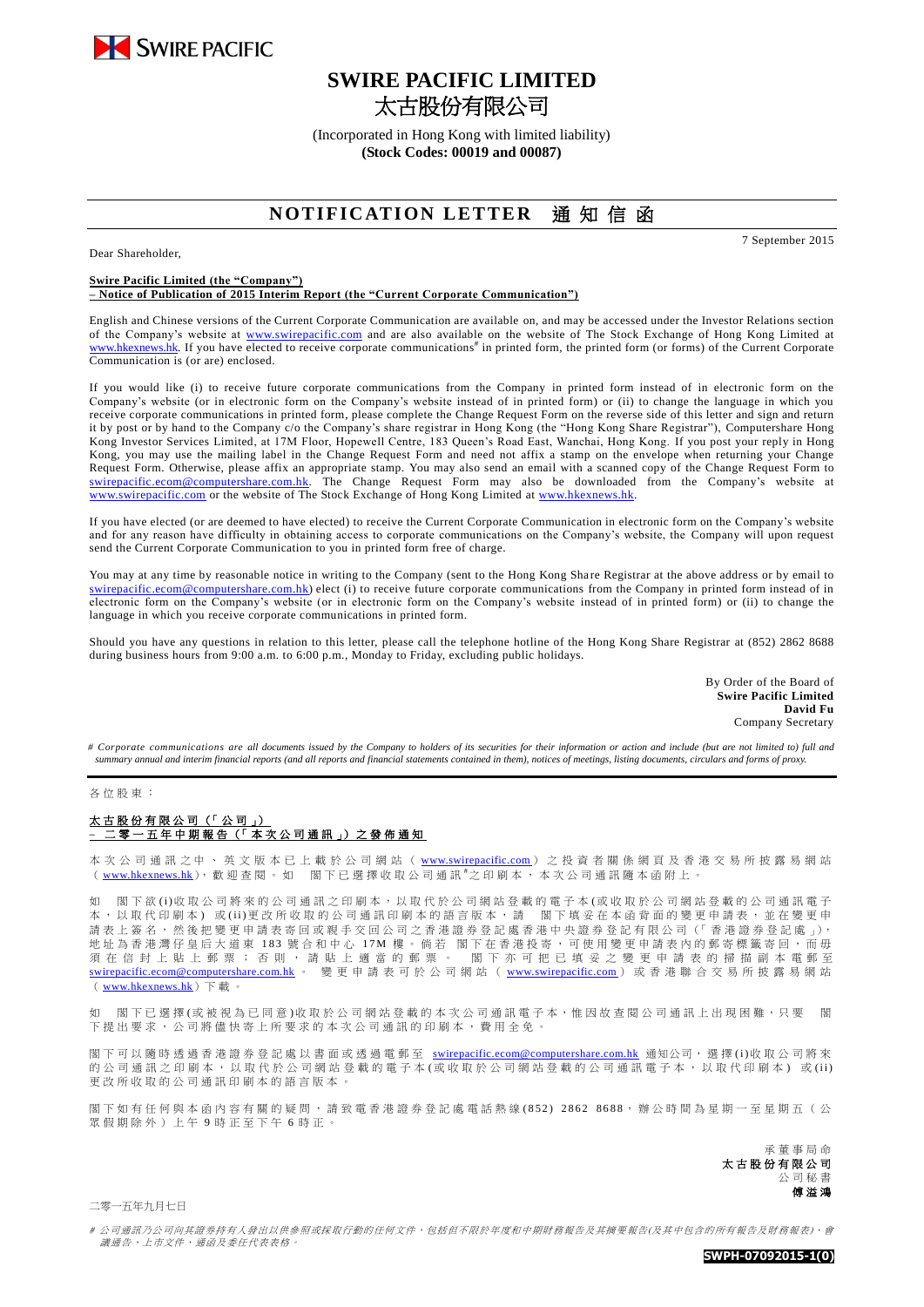

Dear Shareholder,

# **SWIRE PACIFIC LIMITED** 太古股份有限公司

(Incorporated in Hong Kong with limited liability) **(Stock Codes: 00019 and 00087)**

## **NOTIFICATION LETTER 通知信函**

7 September 2015

#### **Swire Pacific Limited (the "Company") – Notice of Publication of 2015 Interim Report (the "Current Corporate Communication")**

English and Chinese versions of the Current Corporate Communication are available on, and may be accessed under the Investor Relations section of the Company's website at [www.swirepacific.com](http://www.swirepacific.com/) and are also available on the website of The Stock Exchange of Hong Kong Limited at [www.hkexnews.hk.](http://www.hkexnews.hk/) If you have elected to receive corporate communications<sup>#</sup> in printed form, the printed form (or forms) of the Current Corporate Communication is (or are) enclosed.

If you would like (i) to receive future corporate communications from the Company in printed form instead of in electronic form on the Company's website (or in electronic form on the Company's website instead of in printed form) or (ii) to change the language in which you receive corporate communications in printed form, please complete the Change Request Form on the reverse side of this letter and sign and return it by post or by hand to the Company c/o the Company's share registrar in Hong Kong (the "Hong Kong Share Registrar"), Computershare Hong Kong Investor Services Limited, at 17M Floor, Hopewell Centre, 183 Queen's Road East, Wanchai, Hong Kong. If you post your reply in Hong Kong, you may use the mailing label in the Change Request Form and need not affix a stamp on the envelope when returning your Change Request Form. Otherwise, please affix an appropriate stamp. You may also send an email with a scanned copy of the Change Request Form to [swirepacific.ecom@computershare.com.hk.](mailto:swirepacific.ecom@computershare.com.hk) The Change Request Form may also be downloaded from the Company's website at [www.swirepacific.com](http://www.swirepacific.com/) or the website of The Stock Exchange of Hong Kong Limited at [www.hkexnews.hk.](http://www.hkexnews.hk/)

If you have elected (or are deemed to have elected) to receive the Current Corporate Communication in electronic form on the Company's website and for any reason have difficulty in obtaining access to corporate communications on the Company's website, the Company will upon request send the Current Corporate Communication to you in printed form free of charge.

You may at any time by reasonable notice in writing to the Company (sent to the Hong Kong Share Registrar at the above address or by email to [swirepacific.ecom@computershare.com.hk\)](mailto:swirepacific.ecom@computershare.com.hk) elect (i) to receive future corporate communications from the Company in printed form instead of in electronic form on the Company's website (or in electronic form on the Company's website instead of in printed form) or (ii) to change the language in which you receive corporate communications in printed form.

Should you have any questions in relation to this letter, please call the telephone hotline of the Hong Kong Share Registrar at (852) 2862 8688 during business hours from 9:00 a.m. to 6:00 p.m., Monday to Friday, excluding public holidays.

> By Order of the Board of **Swire Pacific Limited David Fu** Company Secretary

*# Corporate communications are all documents issued by the Company to holders of its securities for their information or action and include (but are not limited to) full and summary annual and interim financial reports (and all reports and financial statements contained in them), notices of meetings, listing documents, circulars and forms of proxy.*

#### 各位股東 :

### 太古股份有限公司 (「公司」) **–** 二 零 一 五年中期 報 告 (「 本 次 公 司 通 訊 」) 之 發 佈 通 知

本 次 公 司 通 訊 之 中 、 英 文 版 本 已 上 載 於 公 司 網 站 ( [www.swirepacific.com](http://www.swirepacific.com/) ) 之 投 資 者 關 係 網 頁 及 香 港 交 易 所 披 露 易 網 站 ( [www.hkexnews.hk](http://www.hkexnews.hk/)), 歡迎查閱。如 閣下已選擇收取公司通訊"之印刷本, 本次公司通訊隨本函附上。

如 閣下欲(i)收取公司將來的公司通訊之印刷本,以取代於公司網站登載的電子本(或收取於公司網站登載的公司通訊電子 本, 以 取 代 印 刷 本) 或 (ii)更 改 所 收 取 的 公 司 通 訊 印 刷 本 的 語 言 版 本 , 請 图 下 填 妥 在 本 函 背 面 的 變 更 申 請 表 , 並 在 變 更 申 請表上簽名,然後把變更申請表寄回或親手交回公司之香港證券登記處香港中央證券登記有限公司(「香港證券登記處」), 地址為香港灣仔皇后大道東 183 號合和中心 17M 樓。倘若 閣下在香港投寄,可使用變更申請表內的郵寄標籤寄回,而毋<br>須 在 信 封 上 貼 上 郵 票 ; 否 則 , 請 貼 上 適 當 的 郵 票 。 閣 下 亦 可 把 已 填 妥 之 變 更 申 請 表 的 掃 描 副 本 電郵 至 閣 下 亦 可 把 已 填 妥 之 變 更 申 請 表 的 掃 描 副 本 電 郵 至 [swirepacific.ecom@computershare.com.hk](mailto:swirepacific.ecom@computershare.com.hk) 。 變 更 申 請 表 可 於 公 司 網 站 ( [www.swirepacific.com](http://www.swirepacific.com/) ) 或 香 港 聯 合 交 易 所 披 露 易 網 站 ( [www.hkexnews.hk](http://www.hkexnews.hk/))  $\bar{\mathbb{F}}$   $\bar{\mathbb{F}}$   $\circ$ 

如 閣下已選擇(或被視為已同意)收取於公司網站登載的本次公司通訊電子本,惟因故查閱公司通訊上出現困難,只要 閣 下提出要求, 公司將儘快寄上所要求的本次公司通訊的印刷本,費用全免。

閣 下 可 以 隨 時 透 過 香 港 證 券 登 記 處 以 書 面 或 透 過 電 郵 至 [swirepacific.ecom@computershare.com.hk](mailto:swirepacific.ecom@computershare.com.hk) 通知公司, 選 擇 ( i )收 取 公 司 將 來 的公司通訊之印刷本,以取代於公司網站登載的電子本(或收取於公司網站登載的公司通訊電子本,以取代印刷本)或(ii) 更改所收取的公司通訊印刷本的語言版本 。

閣下如有任何與本函內容有關的疑問,請致電香港證券登記處電話熱線(852) 2862 8688,辦公時間為星期一至星期五(公 眾假期除外)上午 9 時正至下午 6 時正。

> 承董事 局 命 太古股份有限公司 公司秘書 傅溢鴻

二零一五年九月七日

# 公司通訊乃公司向其證券持有人發出以供參照或採取行動的任何文件,包括但不限於年度和中期財務報告及其摘要報告(及其中包含的所有報告及財務報表)、會 議通告、上市文件、通函及委任代表表格。